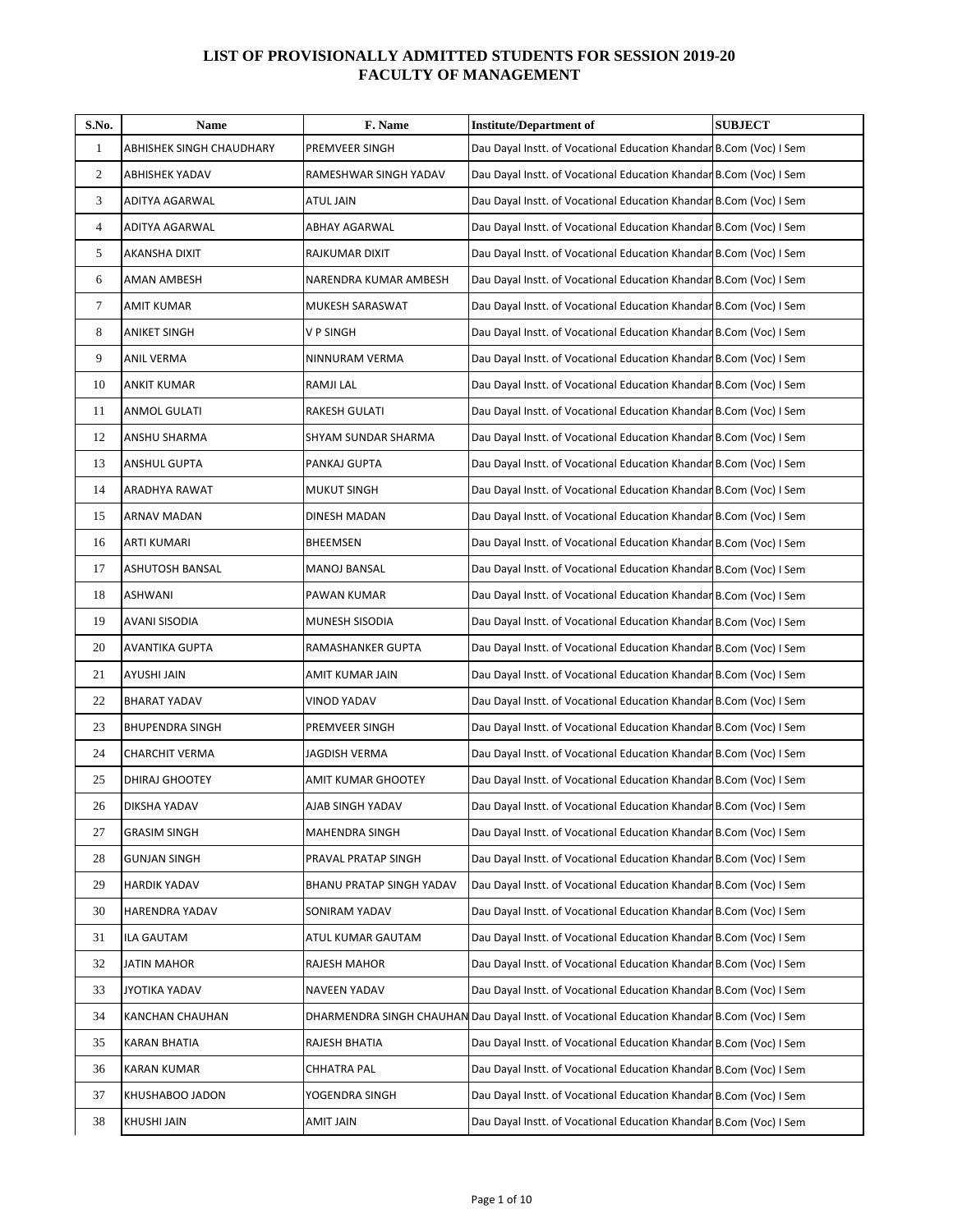## **LIST OF PROVISIONALLY ADMITTED STUDENTS FOR SESSION 2019-20 FACULTY OF MANAGEMENT**

| S.No.        | Name                     | F. Name                  | <b>Institute/Department of</b>                                                              | <b>SUBJECT</b> |
|--------------|--------------------------|--------------------------|---------------------------------------------------------------------------------------------|----------------|
| $\mathbf{1}$ | ABHISHEK SINGH CHAUDHARY | PREMVEER SINGH           | Dau Dayal Instt. of Vocational Education Khandar B.Com (Voc) I Sem                          |                |
| 2            | <b>ABHISHEK YADAV</b>    | RAMESHWAR SINGH YADAV    | Dau Dayal Instt. of Vocational Education Khandar B.Com (Voc) I Sem                          |                |
| 3            | <b>ADITYA AGARWAL</b>    | ATUL JAIN                | Dau Dayal Instt. of Vocational Education Khandar B.Com (Voc) I Sem                          |                |
| 4            | ADITYA AGARWAL           | ABHAY AGARWAL            | Dau Dayal Instt. of Vocational Education Khandar B.Com (Voc) I Sem                          |                |
| 5            | AKANSHA DIXIT            | RAJKUMAR DIXIT           | Dau Dayal Instt. of Vocational Education Khandar B.Com (Voc) I Sem                          |                |
| 6            | AMAN AMBESH              | NARENDRA KUMAR AMBESH    | Dau Dayal Instt. of Vocational Education Khandar B.Com (Voc) I Sem                          |                |
| $\tau$       | <b>AMIT KUMAR</b>        | MUKESH SARASWAT          | Dau Dayal Instt. of Vocational Education Khandar B.Com (Voc) I Sem                          |                |
| 8            | <b>ANIKET SINGH</b>      | V P SINGH                | Dau Dayal Instt. of Vocational Education Khandar B.Com (Voc) I Sem                          |                |
| 9            | <b>ANIL VERMA</b>        | NINNURAM VERMA           | Dau Dayal Instt. of Vocational Education Khandar B.Com (Voc) I Sem                          |                |
| 10           | ANKIT KUMAR              | RAMJI LAL                | Dau Dayal Instt. of Vocational Education Khandar B.Com (Voc) I Sem                          |                |
| 11           | ANMOL GULATI             | RAKESH GULATI            | Dau Dayal Instt. of Vocational Education Khandar B.Com (Voc) I Sem                          |                |
| 12           | ANSHU SHARMA             | SHYAM SUNDAR SHARMA      | Dau Dayal Instt. of Vocational Education Khandar B.Com (Voc) I Sem                          |                |
| 13           | <b>ANSHUL GUPTA</b>      | PANKAJ GUPTA             | Dau Dayal Instt. of Vocational Education Khandar B.Com (Voc) I Sem                          |                |
| 14           | ARADHYA RAWAT            | <b>MUKUT SINGH</b>       | Dau Dayal Instt. of Vocational Education Khandar B.Com (Voc) I Sem                          |                |
| 15           | ARNAV MADAN              | DINESH MADAN             | Dau Dayal Instt. of Vocational Education Khandar B.Com (Voc) I Sem                          |                |
| 16           | <b>ARTI KUMARI</b>       | BHEEMSEN                 | Dau Dayal Instt. of Vocational Education Khandar B.Com (Voc) I Sem                          |                |
| 17           | ASHUTOSH BANSAL          | MANOJ BANSAL             | Dau Dayal Instt. of Vocational Education Khandar B.Com (Voc) I Sem                          |                |
| 18           | <b>ASHWANI</b>           | PAWAN KUMAR              | Dau Dayal Instt. of Vocational Education Khandar B.Com (Voc) I Sem                          |                |
| 19           | AVANI SISODIA            | MUNESH SISODIA           | Dau Dayal Instt. of Vocational Education Khandar B.Com (Voc) I Sem                          |                |
| 20           | AVANTIKA GUPTA           | RAMASHANKER GUPTA        | Dau Dayal Instt. of Vocational Education Khandar B.Com (Voc) I Sem                          |                |
| 21           | AYUSHI JAIN              | AMIT KUMAR JAIN          | Dau Dayal Instt. of Vocational Education Khandar B.Com (Voc) I Sem                          |                |
| 22           | <b>BHARAT YADAV</b>      | VINOD YADAV              | Dau Dayal Instt. of Vocational Education Khandar B.Com (Voc) I Sem                          |                |
| 23           | <b>BHUPENDRA SINGH</b>   | PREMVEER SINGH           | Dau Dayal Instt. of Vocational Education Khandar B.Com (Voc) I Sem                          |                |
| 24           | <b>CHARCHIT VERMA</b>    | JAGDISH VERMA            | Dau Dayal Instt. of Vocational Education Khandar B.Com (Voc) I Sem                          |                |
| 25           | DHIRAJ GHOOTEY           | AMIT KUMAR GHOOTEY       | Dau Dayal Instt. of Vocational Education Khandar B.Com (Voc) I Sem                          |                |
| 26           | DIKSHA YADAV             | AJAB SINGH YADAV         | Dau Dayal Instt. of Vocational Education Khandar B.Com (Voc) I Sem                          |                |
| 27           | <b>GRASIM SINGH</b>      | MAHENDRA SINGH           | Dau Dayal Instt. of Vocational Education Khandar B.Com (Voc) I Sem                          |                |
| 28           | <b>GUNJAN SINGH</b>      | PRAVAL PRATAP SINGH      | Dau Dayal Instt. of Vocational Education Khandar B.Com (Voc) I Sem                          |                |
| 29           | <b>HARDIK YADAV</b>      | BHANU PRATAP SINGH YADAV | Dau Dayal Instt. of Vocational Education Khandar B.Com (Voc) I Sem                          |                |
| 30           | HARENDRA YADAV           | SONIRAM YADAV            | Dau Dayal Instt. of Vocational Education Khandar B.Com (Voc) I Sem                          |                |
| 31           | ILA GAUTAM               | ATUL KUMAR GAUTAM        | Dau Dayal Instt. of Vocational Education Khandar B.Com (Voc) I Sem                          |                |
| 32           | JATIN MAHOR              | RAJESH MAHOR             | Dau Dayal Instt. of Vocational Education Khandar B.Com (Voc) I Sem                          |                |
| 33           | JYOTIKA YADAV            | <b>NAVEEN YADAV</b>      | Dau Dayal Instt. of Vocational Education Khandar B.Com (Voc) I Sem                          |                |
| 34           | KANCHAN CHAUHAN          |                          | DHARMENDRA SINGH CHAUHAN Dau Dayal Instt. of Vocational Education Khandar B.Com (Voc) I Sem |                |
| 35           | KARAN BHATIA             | RAJESH BHATIA            | Dau Dayal Instt. of Vocational Education Khandar B.Com (Voc) I Sem                          |                |
| 36           | <b>KARAN KUMAR</b>       | CHHATRA PAL              | Dau Dayal Instt. of Vocational Education Khandar B.Com (Voc) I Sem                          |                |
| 37           | KHUSHABOO JADON          | YOGENDRA SINGH           | Dau Dayal Instt. of Vocational Education Khandar B.Com (Voc) I Sem                          |                |
| 38           | <b>KHUSHI JAIN</b>       | AMIT JAIN                | Dau Dayal Instt. of Vocational Education Khandar B.Com (Voc) I Sem                          |                |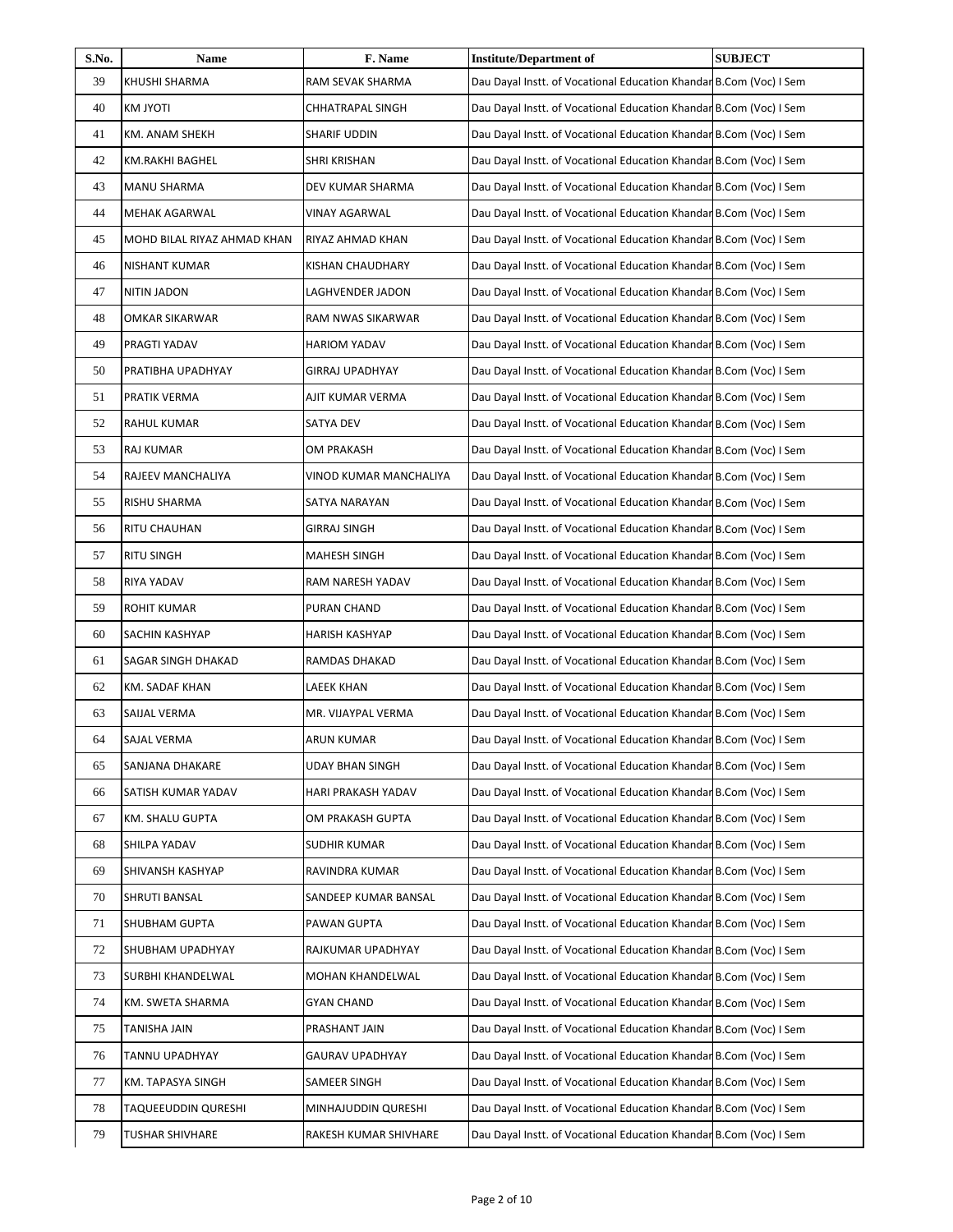| S.No. | Name                        | F. Name                | <b>Institute/Department of</b>                                     | <b>SUBJECT</b> |
|-------|-----------------------------|------------------------|--------------------------------------------------------------------|----------------|
| 39    | KHUSHI SHARMA               | RAM SEVAK SHARMA       | Dau Dayal Instt. of Vocational Education Khandar B.Com (Voc) I Sem |                |
| 40    | <b>KM JYOTI</b>             | CHHATRAPAL SINGH       | Dau Dayal Instt. of Vocational Education Khandar B.Com (Voc) I Sem |                |
| 41    | KM. ANAM SHEKH              | <b>SHARIF UDDIN</b>    | Dau Dayal Instt. of Vocational Education Khandar B.Com (Voc) I Sem |                |
| 42    | KM.RAKHI BAGHEL             | <b>SHRI KRISHAN</b>    | Dau Dayal Instt. of Vocational Education Khandar B.Com (Voc) I Sem |                |
| 43    | <b>MANU SHARMA</b>          | DEV KUMAR SHARMA       | Dau Dayal Instt. of Vocational Education Khandar B.Com (Voc) I Sem |                |
| 44    | <b>MEHAK AGARWAL</b>        | <b>VINAY AGARWAL</b>   | Dau Dayal Instt. of Vocational Education Khandar B.Com (Voc) I Sem |                |
| 45    | MOHD BILAL RIYAZ AHMAD KHAN | RIYAZ AHMAD KHAN       | Dau Dayal Instt. of Vocational Education Khandar B.Com (Voc) I Sem |                |
| 46    | <b>NISHANT KUMAR</b>        | KISHAN CHAUDHARY       | Dau Dayal Instt. of Vocational Education Khandar B.Com (Voc) I Sem |                |
| 47    | NITIN JADON                 | LAGHVENDER JADON       | Dau Dayal Instt. of Vocational Education Khandar B.Com (Voc) I Sem |                |
| 48    | OMKAR SIKARWAR              | RAM NWAS SIKARWAR      | Dau Dayal Instt. of Vocational Education Khandar B.Com (Voc) I Sem |                |
| 49    | PRAGTI YADAV                | <b>HARIOM YADAV</b>    | Dau Dayal Instt. of Vocational Education Khandar B.Com (Voc) I Sem |                |
| 50    | PRATIBHA UPADHYAY           | <b>GIRRAJ UPADHYAY</b> | Dau Dayal Instt. of Vocational Education Khandar B.Com (Voc) I Sem |                |
| 51    | PRATIK VERMA                | AJIT KUMAR VERMA       | Dau Dayal Instt. of Vocational Education Khandar B.Com (Voc) I Sem |                |
| 52    | RAHUL KUMAR                 | SATYA DEV              | Dau Dayal Instt. of Vocational Education Khandar B.Com (Voc) I Sem |                |
| 53    | RAJ KUMAR                   | OM PRAKASH             | Dau Dayal Instt. of Vocational Education Khandar B.Com (Voc) I Sem |                |
| 54    | RAJEEV MANCHALIYA           | VINOD KUMAR MANCHALIYA | Dau Dayal Instt. of Vocational Education Khandar B.Com (Voc) I Sem |                |
| 55    | RISHU SHARMA                | SATYA NARAYAN          | Dau Dayal Instt. of Vocational Education Khandar B.Com (Voc) I Sem |                |
| 56    | RITU CHAUHAN                | <b>GIRRAJ SINGH</b>    | Dau Dayal Instt. of Vocational Education Khandar B.Com (Voc) I Sem |                |
| 57    | <b>RITU SINGH</b>           | <b>MAHESH SINGH</b>    | Dau Dayal Instt. of Vocational Education Khandar B.Com (Voc) I Sem |                |
| 58    | RIYA YADAV                  | RAM NARESH YADAV       | Dau Dayal Instt. of Vocational Education Khandar B.Com (Voc) I Sem |                |
| 59    | <b>ROHIT KUMAR</b>          | PURAN CHAND            | Dau Dayal Instt. of Vocational Education Khandar B.Com (Voc) I Sem |                |
| 60    | SACHIN KASHYAP              | HARISH KASHYAP         | Dau Dayal Instt. of Vocational Education Khandar B.Com (Voc) I Sem |                |
| 61    | SAGAR SINGH DHAKAD          | RAMDAS DHAKAD          | Dau Dayal Instt. of Vocational Education Khandar B.Com (Voc) I Sem |                |
| 62    | KM. SADAF KHAN              | LAEEK KHAN             | Dau Dayal Instt. of Vocational Education Khandar B.Com (Voc) I Sem |                |
| 63    | SAIJAL VERMA                | MR. VIJAYPAL VERMA     | Dau Dayal Instt. of Vocational Education Khandar B.Com (Voc) I Sem |                |
| 64    | SAJAL VERMA                 | ARUN KUMAR             | Dau Dayal Instt. of Vocational Education Khandar B.Com (Voc) I Sem |                |
| 65    | SANJANA DHAKARE             | UDAY BHAN SINGH        | Dau Dayal Instt. of Vocational Education Khandar B.Com (Voc) I Sem |                |
| 66    | SATISH KUMAR YADAV          | HARI PRAKASH YADAV     | Dau Dayal Instt. of Vocational Education Khandar B.Com (Voc) I Sem |                |
| 67    | KM. SHALU GUPTA             | OM PRAKASH GUPTA       | Dau Dayal Instt. of Vocational Education Khandar B.Com (Voc) I Sem |                |
| 68    | SHILPA YADAV                | <b>SUDHIR KUMAR</b>    | Dau Dayal Instt. of Vocational Education Khandar B.Com (Voc) I Sem |                |
| 69    | SHIVANSH KASHYAP            | RAVINDRA KUMAR         | Dau Dayal Instt. of Vocational Education Khandar B.Com (Voc) I Sem |                |
| 70    | SHRUTI BANSAL               | SANDEEP KUMAR BANSAL   | Dau Dayal Instt. of Vocational Education Khandar B.Com (Voc) I Sem |                |
| 71    | SHUBHAM GUPTA               | PAWAN GUPTA            | Dau Dayal Instt. of Vocational Education Khandar B.Com (Voc) I Sem |                |
| 72    | SHUBHAM UPADHYAY            | RAJKUMAR UPADHYAY      | Dau Dayal Instt. of Vocational Education Khandar B.Com (Voc) I Sem |                |
| 73    | SURBHI KHANDELWAL           | MOHAN KHANDELWAL       | Dau Dayal Instt. of Vocational Education Khandar B.Com (Voc) I Sem |                |
| 74    | KM. SWETA SHARMA            | <b>GYAN CHAND</b>      | Dau Dayal Instt. of Vocational Education Khandar B.Com (Voc) I Sem |                |
| 75    | TANISHA JAIN                | PRASHANT JAIN          | Dau Dayal Instt. of Vocational Education Khandar B.Com (Voc) I Sem |                |
| 76    | TANNU UPADHYAY              | <b>GAURAV UPADHYAY</b> | Dau Dayal Instt. of Vocational Education Khandar B.Com (Voc) I Sem |                |
| 77    | KM. TAPASYA SINGH           | SAMEER SINGH           | Dau Dayal Instt. of Vocational Education Khandar B.Com (Voc) I Sem |                |
| 78    | <b>TAQUEEUDDIN QURESHI</b>  | MINHAJUDDIN QURESHI    | Dau Dayal Instt. of Vocational Education Khandar B.Com (Voc) I Sem |                |
| 79    | <b>TUSHAR SHIVHARE</b>      | RAKESH KUMAR SHIVHARE  | Dau Dayal Instt. of Vocational Education Khandar B.Com (Voc) I Sem |                |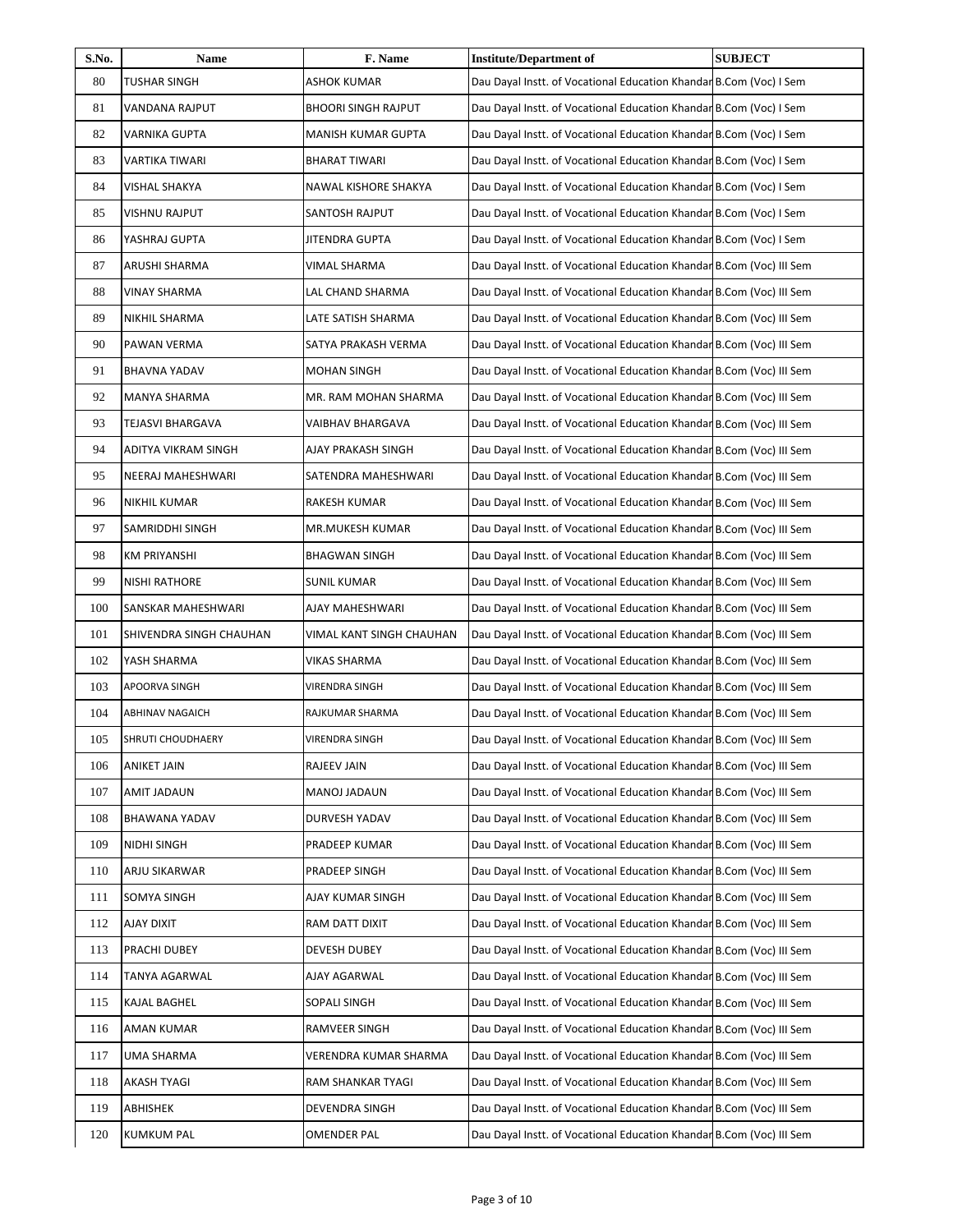| S.No. | Name                    | F. Name                    | <b>Institute/Department of</b>                                       | <b>SUBJECT</b> |
|-------|-------------------------|----------------------------|----------------------------------------------------------------------|----------------|
| 80    | <b>TUSHAR SINGH</b>     | <b>ASHOK KUMAR</b>         | Dau Dayal Instt. of Vocational Education Khandar B.Com (Voc) I Sem   |                |
| 81    | VANDANA RAJPUT          | <b>BHOORI SINGH RAJPUT</b> | Dau Dayal Instt. of Vocational Education Khandar B.Com (Voc) I Sem   |                |
| 82    | VARNIKA GUPTA           | <b>MANISH KUMAR GUPTA</b>  | Dau Dayal Instt. of Vocational Education Khandar B.Com (Voc) I Sem   |                |
| 83    | VARTIKA TIWARI          | <b>BHARAT TIWARI</b>       | Dau Dayal Instt. of Vocational Education Khandar B.Com (Voc) I Sem   |                |
| 84    | VISHAL SHAKYA           | NAWAL KISHORE SHAKYA       | Dau Dayal Instt. of Vocational Education Khandar B.Com (Voc) I Sem   |                |
| 85    | VISHNU RAJPUT           | SANTOSH RAJPUT             | Dau Dayal Instt. of Vocational Education Khandar B.Com (Voc) I Sem   |                |
| 86    | YASHRAJ GUPTA           | JITENDRA GUPTA             | Dau Dayal Instt. of Vocational Education Khandar B.Com (Voc) I Sem   |                |
| 87    | ARUSHI SHARMA           | VIMAL SHARMA               | Dau Dayal Instt. of Vocational Education Khandar B.Com (Voc) III Sem |                |
| 88    | <b>VINAY SHARMA</b>     | LAL CHAND SHARMA           | Dau Dayal Instt. of Vocational Education Khandar B.Com (Voc) III Sem |                |
| 89    | NIKHIL SHARMA           | LATE SATISH SHARMA         | Dau Dayal Instt. of Vocational Education Khandar B.Com (Voc) III Sem |                |
| 90    | PAWAN VERMA             | SATYA PRAKASH VERMA        | Dau Dayal Instt. of Vocational Education Khandar B.Com (Voc) III Sem |                |
| 91    | <b>BHAVNA YADAV</b>     | <b>MOHAN SINGH</b>         | Dau Dayal Instt. of Vocational Education Khandar B.Com (Voc) III Sem |                |
| 92    | MANYA SHARMA            | MR. RAM MOHAN SHARMA       | Dau Dayal Instt. of Vocational Education Khandar B.Com (Voc) III Sem |                |
| 93    | TEJASVI BHARGAVA        | VAIBHAV BHARGAVA           | Dau Dayal Instt. of Vocational Education Khandar B.Com (Voc) III Sem |                |
| 94    | ADITYA VIKRAM SINGH     | AJAY PRAKASH SINGH         | Dau Dayal Instt. of Vocational Education Khandar B.Com (Voc) III Sem |                |
| 95    | NEERAJ MAHESHWARI       | SATENDRA MAHESHWARI        | Dau Dayal Instt. of Vocational Education Khandar B.Com (Voc) III Sem |                |
| 96    | NIKHIL KUMAR            | <b>RAKESH KUMAR</b>        | Dau Dayal Instt. of Vocational Education Khandar B.Com (Voc) III Sem |                |
| 97    | SAMRIDDHI SINGH         | MR.MUKESH KUMAR            | Dau Dayal Instt. of Vocational Education Khandar B.Com (Voc) III Sem |                |
| 98    | <b>KM PRIYANSHI</b>     | <b>BHAGWAN SINGH</b>       | Dau Dayal Instt. of Vocational Education Khandar B.Com (Voc) III Sem |                |
| 99    | NISHI RATHORE           | <b>SUNIL KUMAR</b>         | Dau Dayal Instt. of Vocational Education Khandar B.Com (Voc) III Sem |                |
| 100   | SANSKAR MAHESHWARI      | AJAY MAHESHWARI            | Dau Dayal Instt. of Vocational Education Khandar B.Com (Voc) III Sem |                |
| 101   | SHIVENDRA SINGH CHAUHAN | VIMAL KANT SINGH CHAUHAN   | Dau Dayal Instt. of Vocational Education Khandar B.Com (Voc) III Sem |                |
| 102   | YASH SHARMA             | VIKAS SHARMA               | Dau Dayal Instt. of Vocational Education Khandar B.Com (Voc) III Sem |                |
| 103   | <b>APOORVA SINGH</b>    | <b>VIRENDRA SINGH</b>      | Dau Dayal Instt. of Vocational Education Khandar B.Com (Voc) III Sem |                |
| 104   | <b>ABHINAV NAGAICH</b>  | RAJKUMAR SHARMA            | Dau Dayal Instt. of Vocational Education Khandar B.Com (Voc) III Sem |                |
| 105   | SHRUTI CHOUDHAERY       | VIRENDRA SINGH             | Dau Dayal Instt. of Vocational Education Khandar B.Com (Voc) III Sem |                |
| 106   | ANIKET JAIN             | <b>RAJEEV JAIN</b>         | Dau Dayal Instt. of Vocational Education Khandar B.Com (Voc) III Sem |                |
| 107   | AMIT JADAUN             | MANOJ JADAUN               | Dau Dayal Instt. of Vocational Education Khandar B.Com (Voc) III Sem |                |
| 108   | <b>BHAWANA YADAV</b>    | DURVESH YADAV              | Dau Dayal Instt. of Vocational Education Khandar B.Com (Voc) III Sem |                |
| 109   | NIDHI SINGH             | PRADEEP KUMAR              | Dau Dayal Instt. of Vocational Education Khandar B.Com (Voc) III Sem |                |
| 110   | ARJU SIKARWAR           | PRADEEP SINGH              | Dau Dayal Instt. of Vocational Education Khandar B.Com (Voc) III Sem |                |
| 111   | SOMYA SINGH             | AJAY KUMAR SINGH           | Dau Dayal Instt. of Vocational Education Khandar B.Com (Voc) III Sem |                |
| 112   | <b>AJAY DIXIT</b>       | RAM DATT DIXIT             | Dau Dayal Instt. of Vocational Education Khandar B.Com (Voc) III Sem |                |
| 113   | PRACHI DUBEY            | DEVESH DUBEY               | Dau Dayal Instt. of Vocational Education Khandar B.Com (Voc) III Sem |                |
| 114   | TANYA AGARWAL           | AJAY AGARWAL               | Dau Dayal Instt. of Vocational Education Khandar B.Com (Voc) III Sem |                |
| 115   | KAJAL BAGHEL            | SOPALI SINGH               | Dau Dayal Instt. of Vocational Education Khandar B.Com (Voc) III Sem |                |
| 116   | AMAN KUMAR              | RAMVEER SINGH              | Dau Dayal Instt. of Vocational Education Khandar B.Com (Voc) III Sem |                |
| 117   | UMA SHARMA              | VERENDRA KUMAR SHARMA      | Dau Dayal Instt. of Vocational Education Khandar B.Com (Voc) III Sem |                |
| 118   | <b>AKASH TYAGI</b>      | RAM SHANKAR TYAGI          | Dau Dayal Instt. of Vocational Education Khandar B.Com (Voc) III Sem |                |
| 119   | ABHISHEK                | DEVENDRA SINGH             | Dau Dayal Instt. of Vocational Education Khandar B.Com (Voc) III Sem |                |
| 120   | <b>KUMKUM PAL</b>       | <b>OMENDER PAL</b>         | Dau Dayal Instt. of Vocational Education Khandar B.Com (Voc) III Sem |                |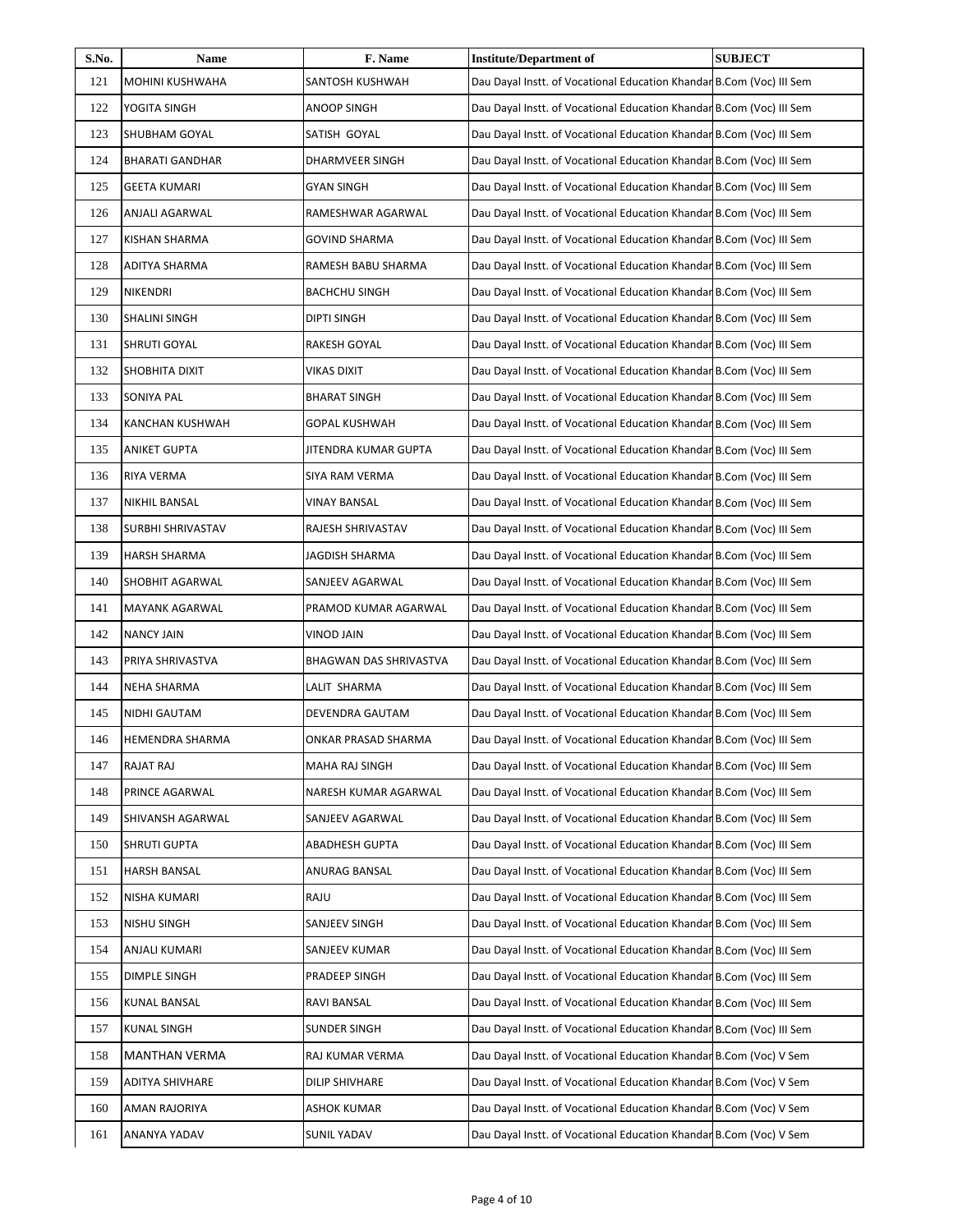| S.No. | Name                   | F. Name                | <b>Institute/Department of</b>                                       | <b>SUBJECT</b> |
|-------|------------------------|------------------------|----------------------------------------------------------------------|----------------|
| 121   | MOHINI KUSHWAHA        | SANTOSH KUSHWAH        | Dau Dayal Instt. of Vocational Education Khandar B.Com (Voc) III Sem |                |
| 122   | YOGITA SINGH           | <b>ANOOP SINGH</b>     | Dau Dayal Instt. of Vocational Education Khandar B.Com (Voc) III Sem |                |
| 123   | SHUBHAM GOYAL          | SATISH GOYAL           | Dau Dayal Instt. of Vocational Education Khandar B.Com (Voc) III Sem |                |
| 124   | <b>BHARATI GANDHAR</b> | DHARMVEER SINGH        | Dau Dayal Instt. of Vocational Education Khandar B.Com (Voc) III Sem |                |
| 125   | <b>GEETA KUMARI</b>    | <b>GYAN SINGH</b>      | Dau Dayal Instt. of Vocational Education Khandar B.Com (Voc) III Sem |                |
| 126   | ANJALI AGARWAL         | RAMESHWAR AGARWAL      | Dau Dayal Instt. of Vocational Education Khandar B.Com (Voc) III Sem |                |
| 127   | KISHAN SHARMA          | <b>GOVIND SHARMA</b>   | Dau Dayal Instt. of Vocational Education Khandar B.Com (Voc) III Sem |                |
| 128   | <b>ADITYA SHARMA</b>   | RAMESH BABU SHARMA     | Dau Dayal Instt. of Vocational Education Khandar B.Com (Voc) III Sem |                |
| 129   | NIKENDRI               | <b>BACHCHU SINGH</b>   | Dau Dayal Instt. of Vocational Education Khandar B.Com (Voc) III Sem |                |
| 130   | SHALINI SINGH          | DIPTI SINGH            | Dau Dayal Instt. of Vocational Education Khandar B.Com (Voc) III Sem |                |
| 131   | SHRUTI GOYAL           | RAKESH GOYAL           | Dau Dayal Instt. of Vocational Education Khandar B.Com (Voc) III Sem |                |
| 132   | SHOBHITA DIXIT         | VIKAS DIXIT            | Dau Dayal Instt. of Vocational Education Khandar B.Com (Voc) III Sem |                |
| 133   | SONIYA PAL             | <b>BHARAT SINGH</b>    | Dau Dayal Instt. of Vocational Education Khandar B.Com (Voc) III Sem |                |
| 134   | KANCHAN KUSHWAH        | <b>GOPAL KUSHWAH</b>   | Dau Dayal Instt. of Vocational Education Khandar B.Com (Voc) III Sem |                |
| 135   | ANIKET GUPTA           | JITENDRA KUMAR GUPTA   | Dau Dayal Instt. of Vocational Education Khandar B.Com (Voc) III Sem |                |
| 136   | RIYA VERMA             | SIYA RAM VERMA         | Dau Dayal Instt. of Vocational Education Khandar B.Com (Voc) III Sem |                |
| 137   | NIKHIL BANSAL          | VINAY BANSAL           | Dau Dayal Instt. of Vocational Education Khandar B.Com (Voc) III Sem |                |
| 138   | SURBHI SHRIVASTAV      | RAJESH SHRIVASTAV      | Dau Dayal Instt. of Vocational Education Khandar B.Com (Voc) III Sem |                |
| 139   | <b>HARSH SHARMA</b>    | JAGDISH SHARMA         | Dau Dayal Instt. of Vocational Education Khandar B.Com (Voc) III Sem |                |
| 140   | SHOBHIT AGARWAL        | SANJEEV AGARWAL        | Dau Dayal Instt. of Vocational Education Khandar B.Com (Voc) III Sem |                |
| 141   | MAYANK AGARWAL         | PRAMOD KUMAR AGARWAL   | Dau Dayal Instt. of Vocational Education Khandar B.Com (Voc) III Sem |                |
| 142   | <b>NANCY JAIN</b>      | VINOD JAIN             | Dau Dayal Instt. of Vocational Education Khandar B.Com (Voc) III Sem |                |
| 143   | PRIYA SHRIVASTVA       | BHAGWAN DAS SHRIVASTVA | Dau Dayal Instt. of Vocational Education Khandar B.Com (Voc) III Sem |                |
| 144   | NEHA SHARMA            | LALIT SHARMA           | Dau Dayal Instt. of Vocational Education Khandar B.Com (Voc) III Sem |                |
| 145   | NIDHI GAUTAM           | DEVENDRA GAUTAM        | Dau Dayal Instt. of Vocational Education Khandar B.Com (Voc) III Sem |                |
| 146   | HEMENDRA SHARMA        | ONKAR PRASAD SHARMA    | Dau Dayal Instt. of Vocational Education Khandar B.Com (Voc) III Sem |                |
| 147   | <b>RAJAT RAJ</b>       | MAHA RAJ SINGH         | Dau Dayal Instt. of Vocational Education Khandar B.Com (Voc) III Sem |                |
| 148   | PRINCE AGARWAL         | NARESH KUMAR AGARWAL   | Dau Dayal Instt. of Vocational Education Khandar B.Com (Voc) III Sem |                |
| 149   | SHIVANSH AGARWAL       | SANJEEV AGARWAL        | Dau Dayal Instt. of Vocational Education Khandar B.Com (Voc) III Sem |                |
| 150   | SHRUTI GUPTA           | <b>ABADHESH GUPTA</b>  | Dau Dayal Instt. of Vocational Education Khandar B.Com (Voc) III Sem |                |
| 151   | HARSH BANSAL           | ANURAG BANSAL          | Dau Dayal Instt. of Vocational Education Khandar B.Com (Voc) III Sem |                |
| 152   | NISHA KUMARI           | RAJU                   | Dau Dayal Instt. of Vocational Education Khandar B.Com (Voc) III Sem |                |
| 153   | NISHU SINGH            | SANJEEV SINGH          | Dau Dayal Instt. of Vocational Education Khandar B.Com (Voc) III Sem |                |
| 154   | ANJALI KUMARI          | SANJEEV KUMAR          | Dau Dayal Instt. of Vocational Education Khandar B.Com (Voc) III Sem |                |
| 155   | DIMPLE SINGH           | PRADEEP SINGH          | Dau Dayal Instt. of Vocational Education Khandar B.Com (Voc) III Sem |                |
| 156   | <b>KUNAL BANSAL</b>    | RAVI BANSAL            | Dau Dayal Instt. of Vocational Education Khandar B.Com (Voc) III Sem |                |
| 157   | <b>KUNAL SINGH</b>     | SUNDER SINGH           | Dau Dayal Instt. of Vocational Education Khandar B.Com (Voc) III Sem |                |
| 158   | <b>MANTHAN VERMA</b>   | RAJ KUMAR VERMA        | Dau Dayal Instt. of Vocational Education Khandar B.Com (Voc) V Sem   |                |
| 159   | ADITYA SHIVHARE        | DILIP SHIVHARE         | Dau Dayal Instt. of Vocational Education Khandar B.Com (Voc) V Sem   |                |
| 160   | AMAN RAJORIYA          | ASHOK KUMAR            | Dau Dayal Instt. of Vocational Education Khandar B.Com (Voc) V Sem   |                |
| 161   | ANANYA YADAV           | <b>SUNIL YADAV</b>     | Dau Dayal Instt. of Vocational Education Khandar B.Com (Voc) V Sem   |                |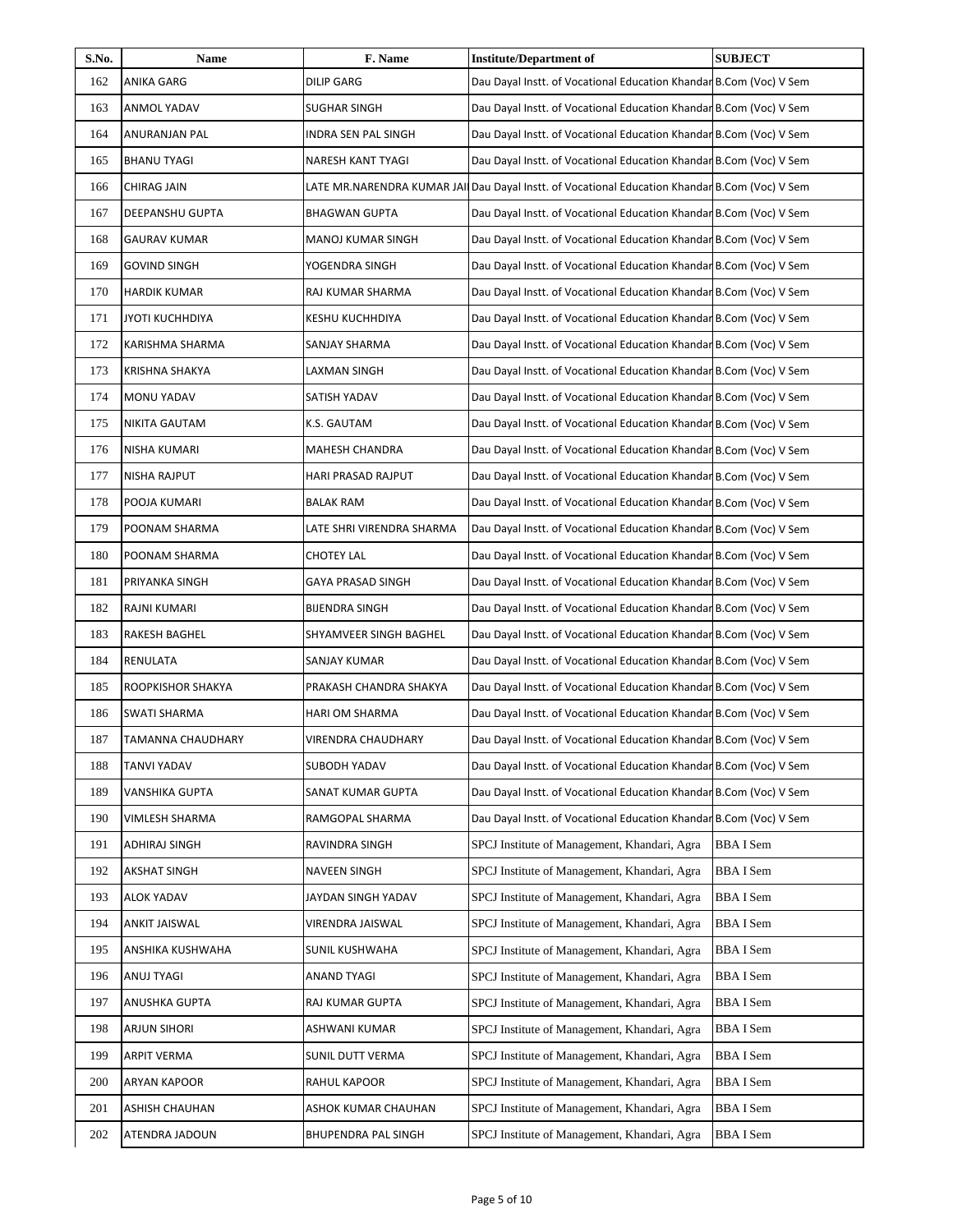| S.No. | Name                   | F. Name                   | <b>Institute/Department of</b>                                                                 | <b>SUBJECT</b>  |
|-------|------------------------|---------------------------|------------------------------------------------------------------------------------------------|-----------------|
| 162   | <b>ANIKA GARG</b>      | <b>DILIP GARG</b>         | Dau Dayal Instt. of Vocational Education Khandar B.Com (Voc) V Sem                             |                 |
| 163   | <b>ANMOL YADAV</b>     | SUGHAR SINGH              | Dau Dayal Instt. of Vocational Education Khandar B.Com (Voc) V Sem                             |                 |
| 164   | ANURANJAN PAL          | INDRA SEN PAL SINGH       | Dau Dayal Instt. of Vocational Education Khandar B.Com (Voc) V Sem                             |                 |
| 165   | <b>BHANU TYAGI</b>     | NARESH KANT TYAGI         | Dau Dayal Instt. of Vocational Education Khandar B.Com (Voc) V Sem                             |                 |
| 166   | CHIRAG JAIN            |                           | LATE MR.NARENDRA KUMAR JAII Dau Dayal Instt. of Vocational Education Khandar B.Com (Voc) V Sem |                 |
| 167   | DEEPANSHU GUPTA        | BHAGWAN GUPTA             | Dau Dayal Instt. of Vocational Education Khandar B.Com (Voc) V Sem                             |                 |
| 168   | <b>GAURAV KUMAR</b>    | MANOJ KUMAR SINGH         | Dau Dayal Instt. of Vocational Education Khandar B.Com (Voc) V Sem                             |                 |
| 169   | <b>GOVIND SINGH</b>    | YOGENDRA SINGH            | Dau Dayal Instt. of Vocational Education Khandar B.Com (Voc) V Sem                             |                 |
| 170   | <b>HARDIK KUMAR</b>    | RAJ KUMAR SHARMA          | Dau Dayal Instt. of Vocational Education Khandar B.Com (Voc) V Sem                             |                 |
| 171   | <b>JYOTI KUCHHDIYA</b> | KESHU KUCHHDIYA           | Dau Dayal Instt. of Vocational Education Khandar B.Com (Voc) V Sem                             |                 |
| 172   | KARISHMA SHARMA        | SANJAY SHARMA             | Dau Dayal Instt. of Vocational Education Khandar B.Com (Voc) V Sem                             |                 |
| 173   | <b>KRISHNA SHAKYA</b>  | LAXMAN SINGH              | Dau Dayal Instt. of Vocational Education Khandar B.Com (Voc) V Sem                             |                 |
| 174   | MONU YADAV             | SATISH YADAV              | Dau Dayal Instt. of Vocational Education Khandar B.Com (Voc) V Sem                             |                 |
| 175   | NIKITA GAUTAM          | K.S. GAUTAM               | Dau Dayal Instt. of Vocational Education Khandar B.Com (Voc) V Sem                             |                 |
| 176   | NISHA KUMARI           | MAHESH CHANDRA            | Dau Dayal Instt. of Vocational Education Khandar B.Com (Voc) V Sem                             |                 |
| 177   | NISHA RAJPUT           | HARI PRASAD RAJPUT        | Dau Dayal Instt. of Vocational Education Khandar B.Com (Voc) V Sem                             |                 |
| 178   | POOJA KUMARI           | BALAK RAM                 | Dau Dayal Instt. of Vocational Education Khandar B.Com (Voc) V Sem                             |                 |
| 179   | POONAM SHARMA          | LATE SHRI VIRENDRA SHARMA | Dau Dayal Instt. of Vocational Education Khandar B.Com (Voc) V Sem                             |                 |
| 180   | POONAM SHARMA          | <b>CHOTEY LAL</b>         | Dau Dayal Instt. of Vocational Education Khandar B.Com (Voc) V Sem                             |                 |
| 181   | PRIYANKA SINGH         | GAYA PRASAD SINGH         | Dau Dayal Instt. of Vocational Education Khandar B.Com (Voc) V Sem                             |                 |
| 182   | RAJNI KUMARI           | <b>BIJENDRA SINGH</b>     | Dau Dayal Instt. of Vocational Education Khandar B.Com (Voc) V Sem                             |                 |
| 183   | RAKESH BAGHEL          | SHYAMVEER SINGH BAGHEL    | Dau Dayal Instt. of Vocational Education Khandar B.Com (Voc) V Sem                             |                 |
| 184   | RENULATA               | SANJAY KUMAR              | Dau Dayal Instt. of Vocational Education Khandar B.Com (Voc) V Sem                             |                 |
| 185   | ROOPKISHOR SHAKYA      | PRAKASH CHANDRA SHAKYA    | Dau Dayal Instt. of Vocational Education Khandar B.Com (Voc) V Sem                             |                 |
| 186   | SWATI SHARMA           | HARI OM SHARMA            | Dau Dayal Instt. of Vocational Education Khandar B.Com (Voc) V Sem                             |                 |
| 187   | TAMANNA CHAUDHARY      | VIRENDRA CHAUDHARY        | Dau Dayal Instt. of Vocational Education Khandar B.Com (Voc) V Sem                             |                 |
| 188   | TANVI YADAV            | SUBODH YADAV              | Dau Dayal Instt. of Vocational Education Khandar B.Com (Voc) V Sem                             |                 |
| 189   | VANSHIKA GUPTA         | SANAT KUMAR GUPTA         | Dau Dayal Instt. of Vocational Education Khandar B.Com (Voc) V Sem                             |                 |
| 190   | VIMLESH SHARMA         | RAMGOPAL SHARMA           | Dau Dayal Instt. of Vocational Education Khandar B.Com (Voc) V Sem                             |                 |
| 191   | ADHIRAJ SINGH          | RAVINDRA SINGH            | SPCJ Institute of Management, Khandari, Agra                                                   | <b>BBAI</b> Sem |
| 192   | AKSHAT SINGH           | NAVEEN SINGH              | SPCJ Institute of Management, Khandari, Agra                                                   | BBA I Sem       |
| 193   | <b>ALOK YADAV</b>      | JAYDAN SINGH YADAV        | SPCJ Institute of Management, Khandari, Agra                                                   | <b>BBAI</b> Sem |
| 194   | ANKIT JAISWAL          | VIRENDRA JAISWAL          | SPCJ Institute of Management, Khandari, Agra                                                   | BBA I Sem       |
| 195   | ANSHIKA KUSHWAHA       | SUNIL KUSHWAHA            | SPCJ Institute of Management, Khandari, Agra                                                   | <b>BBAI</b> Sem |
| 196   | ANUJ TYAGI             | ANAND TYAGI               | SPCJ Institute of Management, Khandari, Agra                                                   | <b>BBAI</b> Sem |
| 197   | ANUSHKA GUPTA          | RAJ KUMAR GUPTA           | SPCJ Institute of Management, Khandari, Agra                                                   | <b>BBAI</b> Sem |
| 198   | ARJUN SIHORI           | ASHWANI KUMAR             | SPCJ Institute of Management, Khandari, Agra                                                   | <b>BBAI</b> Sem |
| 199   | ARPIT VERMA            | SUNIL DUTT VERMA          | SPCJ Institute of Management, Khandari, Agra                                                   | BBA I Sem       |
| 200   | ARYAN KAPOOR           | RAHUL KAPOOR              | SPCJ Institute of Management, Khandari, Agra                                                   | <b>BBAI</b> Sem |
| 201   | ASHISH CHAUHAN         | ASHOK KUMAR CHAUHAN       | SPCJ Institute of Management, Khandari, Agra                                                   | <b>BBAI</b> Sem |
| 202   | ATENDRA JADOUN         | BHUPENDRA PAL SINGH       | SPCJ Institute of Management, Khandari, Agra                                                   | <b>BBAI</b> Sem |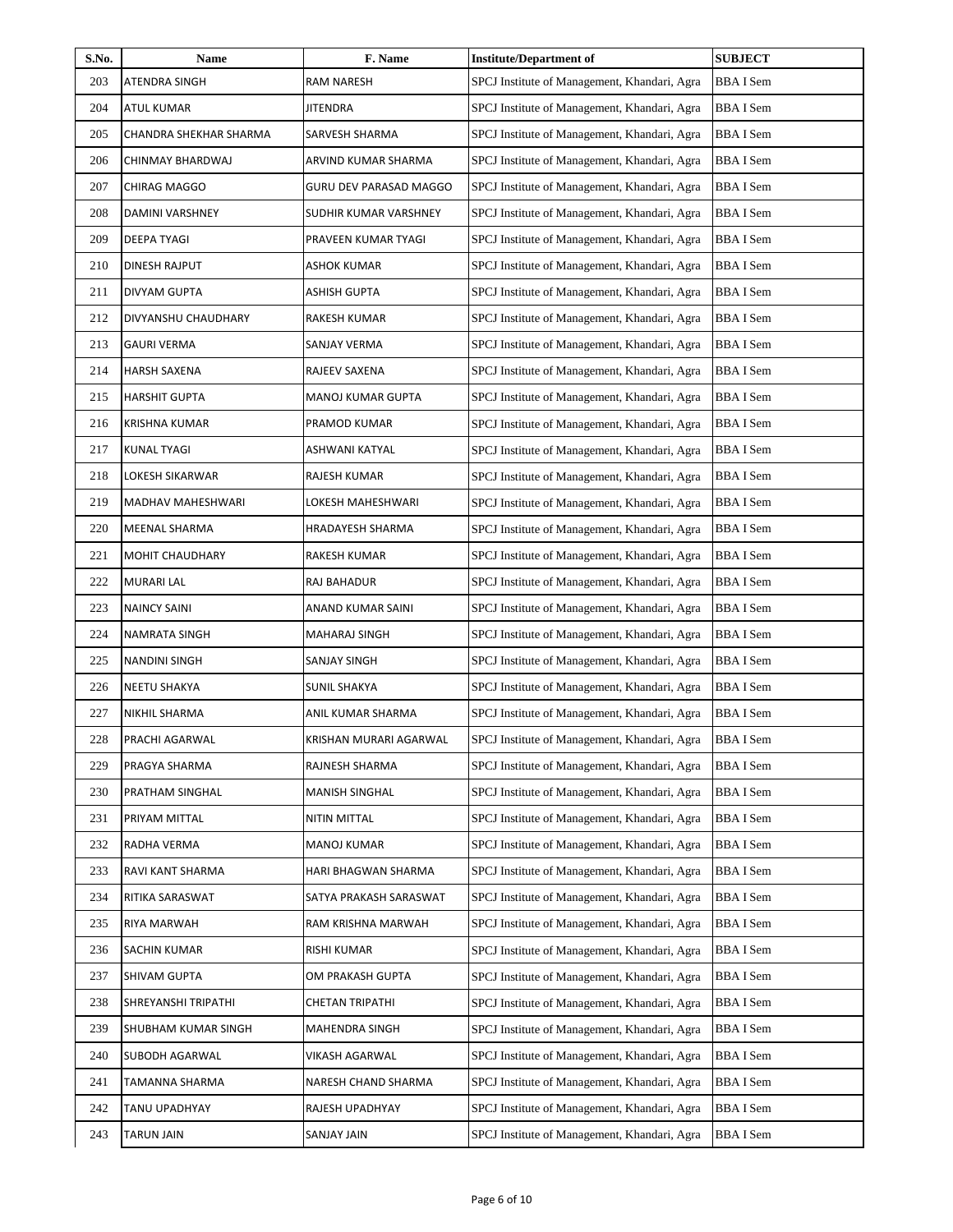| S.No. | <b>Name</b>            | F. Name                | <b>Institute/Department of</b>               | <b>SUBJECT</b>  |
|-------|------------------------|------------------------|----------------------------------------------|-----------------|
| 203   | ATENDRA SINGH          | RAM NARESH             | SPCJ Institute of Management, Khandari, Agra | <b>BBAI</b> Sem |
| 204   | ATUL KUMAR             | JITENDRA               | SPCJ Institute of Management, Khandari, Agra | <b>BBAI</b> Sem |
| 205   | CHANDRA SHEKHAR SHARMA | SARVESH SHARMA         | SPCJ Institute of Management, Khandari, Agra | <b>BBAI</b> Sem |
| 206   | CHINMAY BHARDWAJ       | ARVIND KUMAR SHARMA    | SPCJ Institute of Management, Khandari, Agra | <b>BBAI</b> Sem |
| 207   | CHIRAG MAGGO           | GURU DEV PARASAD MAGGO | SPCJ Institute of Management, Khandari, Agra | <b>BBAI</b> Sem |
| 208   | DAMINI VARSHNEY        | SUDHIR KUMAR VARSHNEY  | SPCJ Institute of Management, Khandari, Agra | <b>BBAI</b> Sem |
| 209   | DEEPA TYAGI            | PRAVEEN KUMAR TYAGI    | SPCJ Institute of Management, Khandari, Agra | <b>BBAI</b> Sem |
| 210   | DINESH RAJPUT          | ASHOK KUMAR            | SPCJ Institute of Management, Khandari, Agra | <b>BBAI</b> Sem |
| 211   | DIVYAM GUPTA           | ASHISH GUPTA           | SPCJ Institute of Management, Khandari, Agra | <b>BBAI</b> Sem |
| 212   | DIVYANSHU CHAUDHARY    | RAKESH KUMAR           | SPCJ Institute of Management, Khandari, Agra | <b>BBAI</b> Sem |
| 213   | <b>GAURI VERMA</b>     | SANJAY VERMA           | SPCJ Institute of Management, Khandari, Agra | <b>BBAI</b> Sem |
| 214   | <b>HARSH SAXENA</b>    | RAJEEV SAXENA          | SPCJ Institute of Management, Khandari, Agra | <b>BBAI</b> Sem |
| 215   | <b>HARSHIT GUPTA</b>   | MANOJ KUMAR GUPTA      | SPCJ Institute of Management, Khandari, Agra | <b>BBAI</b> Sem |
| 216   | <b>KRISHNA KUMAR</b>   | PRAMOD KUMAR           | SPCJ Institute of Management, Khandari, Agra | <b>BBAI</b> Sem |
| 217   | <b>KUNAL TYAGI</b>     | ASHWANI KATYAL         | SPCJ Institute of Management, Khandari, Agra | <b>BBAI</b> Sem |
| 218   | LOKESH SIKARWAR        | RAJESH KUMAR           | SPCJ Institute of Management, Khandari, Agra | <b>BBAI</b> Sem |
| 219   | MADHAV MAHESHWARI      | LOKESH MAHESHWARI      | SPCJ Institute of Management, Khandari, Agra | <b>BBAI</b> Sem |
| 220   | MEENAL SHARMA          | HRADAYESH SHARMA       | SPCJ Institute of Management, Khandari, Agra | <b>BBAI</b> Sem |
| 221   | MOHIT CHAUDHARY        | RAKESH KUMAR           | SPCJ Institute of Management, Khandari, Agra | <b>BBAI</b> Sem |
| 222   | <b>MURARI LAL</b>      | RAJ BAHADUR            | SPCJ Institute of Management, Khandari, Agra | <b>BBAI</b> Sem |
| 223   | <b>NAINCY SAINI</b>    | ANAND KUMAR SAINI      | SPCJ Institute of Management, Khandari, Agra | <b>BBAI</b> Sem |
| 224   | NAMRATA SINGH          | MAHARAJ SINGH          | SPCJ Institute of Management, Khandari, Agra | <b>BBAI</b> Sem |
| 225   | <b>NANDINI SINGH</b>   | SANJAY SINGH           | SPCJ Institute of Management, Khandari, Agra | <b>BBAI</b> Sem |
| 226   | NEETU SHAKYA           | SUNIL SHAKYA           | SPCJ Institute of Management, Khandari, Agra | <b>BBAI</b> Sem |
| 227   | NIKHIL SHARMA          | ANIL KUMAR SHARMA      | SPCJ Institute of Management, Khandari, Agra | <b>BBAI</b> Sem |
| 228   | PRACHI AGARWAL         | KRISHAN MURARI AGARWAL | SPCJ Institute of Management, Khandari, Agra | BBA I Sem       |
| 229   | PRAGYA SHARMA          | RAJNESH SHARMA         | SPCJ Institute of Management, Khandari, Agra | <b>BBAI</b> Sem |
| 230   | PRATHAM SINGHAL        | MANISH SINGHAL         | SPCJ Institute of Management, Khandari, Agra | BBA I Sem       |
| 231   | PRIYAM MITTAL          | NITIN MITTAL           | SPCJ Institute of Management, Khandari, Agra | BBA I Sem       |
| 232   | RADHA VERMA            | MANOJ KUMAR            | SPCJ Institute of Management, Khandari, Agra | <b>BBAI</b> Sem |
| 233   | RAVI KANT SHARMA       | HARI BHAGWAN SHARMA    | SPCJ Institute of Management, Khandari, Agra | BBA I Sem       |
| 234   | RITIKA SARASWAT        | SATYA PRAKASH SARASWAT | SPCJ Institute of Management, Khandari, Agra | BBA I Sem       |
| 235   | RIYA MARWAH            | RAM KRISHNA MARWAH     | SPCJ Institute of Management, Khandari, Agra | BBA I Sem       |
| 236   | SACHIN KUMAR           | RISHI KUMAR            | SPCJ Institute of Management, Khandari, Agra | <b>BBAI</b> Sem |
| 237   | SHIVAM GUPTA           | OM PRAKASH GUPTA       | SPCJ Institute of Management, Khandari, Agra | BBA I Sem       |
| 238   | SHREYANSHI TRIPATHI    | CHETAN TRIPATHI        | SPCJ Institute of Management, Khandari, Agra | <b>BBAI</b> Sem |
| 239   | SHUBHAM KUMAR SINGH    | MAHENDRA SINGH         | SPCJ Institute of Management, Khandari, Agra | <b>BBAI</b> Sem |
| 240   | SUBODH AGARWAL         | VIKASH AGARWAL         | SPCJ Institute of Management, Khandari, Agra | BBA I Sem       |
| 241   | TAMANNA SHARMA         | NARESH CHAND SHARMA    | SPCJ Institute of Management, Khandari, Agra | BBA I Sem       |
| 242   | TANU UPADHYAY          | RAJESH UPADHYAY        | SPCJ Institute of Management, Khandari, Agra | BBA I Sem       |
| 243   | TARUN JAIN             | SANJAY JAIN            | SPCJ Institute of Management, Khandari, Agra | <b>BBAI</b> Sem |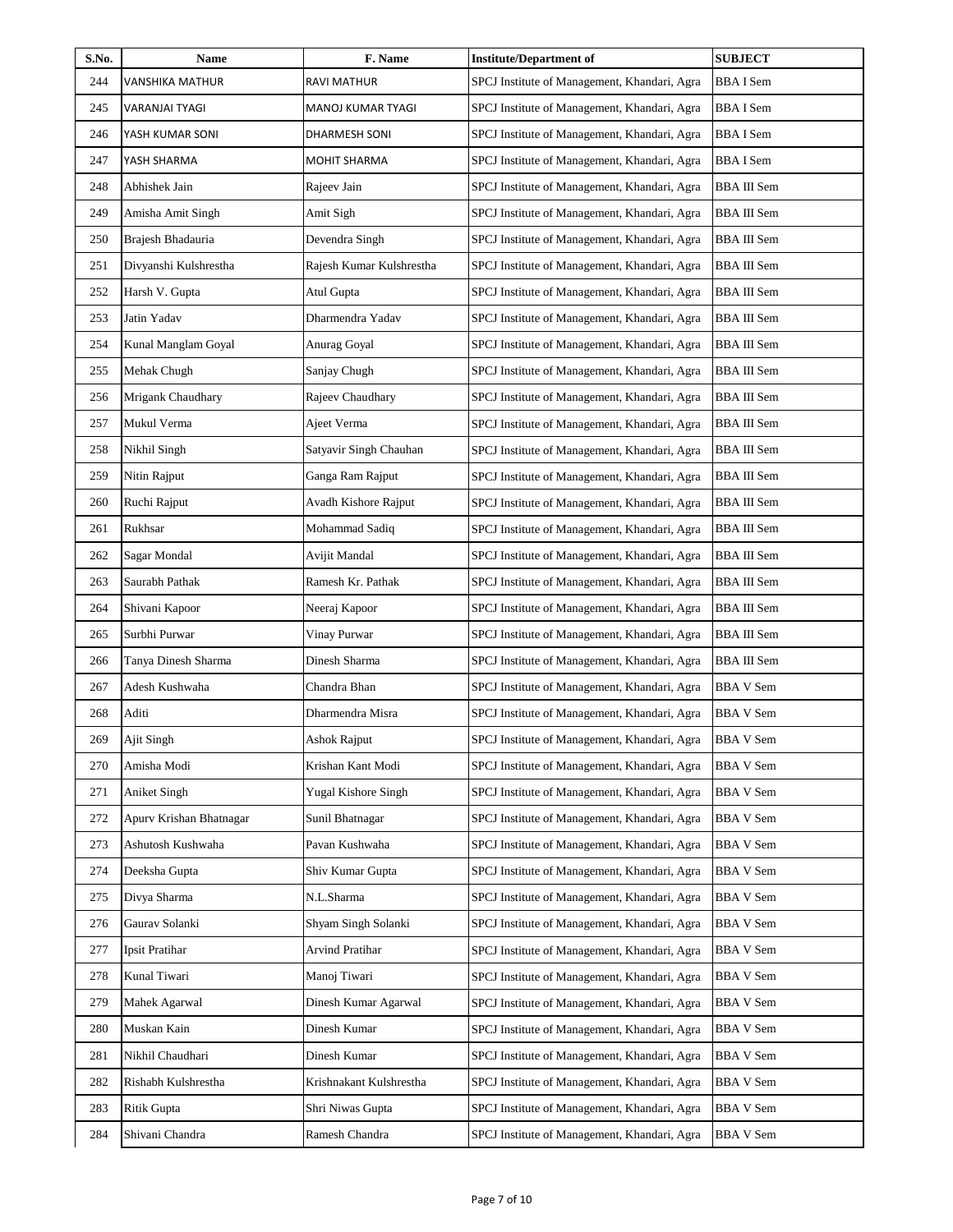| S.No. | Name                    | F. Name                  | <b>Institute/Department of</b>               | <b>SUBJECT</b>     |
|-------|-------------------------|--------------------------|----------------------------------------------|--------------------|
| 244   | VANSHIKA MATHUR         | RAVI MATHUR              | SPCJ Institute of Management, Khandari, Agra | <b>BBAI</b> Sem    |
| 245   | VARANJAI TYAGI          | MANOJ KUMAR TYAGI        | SPCJ Institute of Management, Khandari, Agra | <b>BBAI</b> Sem    |
| 246   | YASH KUMAR SONI         | DHARMESH SONI            | SPCJ Institute of Management, Khandari, Agra | <b>BBAI</b> Sem    |
| 247   | YASH SHARMA             | <b>MOHIT SHARMA</b>      | SPCJ Institute of Management, Khandari, Agra | BBA I Sem          |
| 248   | Abhishek Jain           | Rajeev Jain              | SPCJ Institute of Management, Khandari, Agra | <b>BBA III Sem</b> |
| 249   | Amisha Amit Singh       | Amit Sigh                | SPCJ Institute of Management, Khandari, Agra | <b>BBA III Sem</b> |
| 250   | Brajesh Bhadauria       | Devendra Singh           | SPCJ Institute of Management, Khandari, Agra | <b>BBA III Sem</b> |
| 251   | Divyanshi Kulshrestha   | Rajesh Kumar Kulshrestha | SPCJ Institute of Management, Khandari, Agra | <b>BBA III Sem</b> |
| 252   | Harsh V. Gupta          | Atul Gupta               | SPCJ Institute of Management, Khandari, Agra | <b>BBA III Sem</b> |
| 253   | Jatin Yadav             | Dharmendra Yadav         | SPCJ Institute of Management, Khandari, Agra | <b>BBA III Sem</b> |
| 254   | Kunal Manglam Goyal     | Anurag Goyal             | SPCJ Institute of Management, Khandari, Agra | BBA III Sem        |
| 255   | Mehak Chugh             | Sanjay Chugh             | SPCJ Institute of Management, Khandari, Agra | <b>BBA III Sem</b> |
| 256   | Mrigank Chaudhary       | Rajeev Chaudhary         | SPCJ Institute of Management, Khandari, Agra | <b>BBA III Sem</b> |
| 257   | Mukul Verma             | Ajeet Verma              | SPCJ Institute of Management, Khandari, Agra | <b>BBA III Sem</b> |
| 258   | Nikhil Singh            | Satyavir Singh Chauhan   | SPCJ Institute of Management, Khandari, Agra | <b>BBA III Sem</b> |
| 259   | Nitin Rajput            | Ganga Ram Rajput         | SPCJ Institute of Management, Khandari, Agra | <b>BBA III Sem</b> |
| 260   | Ruchi Rajput            | Avadh Kishore Rajput     | SPCJ Institute of Management, Khandari, Agra | <b>BBA III Sem</b> |
| 261   | Rukhsar                 | Mohammad Sadiq           | SPCJ Institute of Management, Khandari, Agra | <b>BBA III Sem</b> |
| 262   | Sagar Mondal            | Avijit Mandal            | SPCJ Institute of Management, Khandari, Agra | <b>BBA III Sem</b> |
| 263   | Saurabh Pathak          | Ramesh Kr. Pathak        | SPCJ Institute of Management, Khandari, Agra | <b>BBA III Sem</b> |
| 264   | Shivani Kapoor          | Neeraj Kapoor            | SPCJ Institute of Management, Khandari, Agra | BBA III Sem        |
| 265   | Surbhi Purwar           | Vinay Purwar             | SPCJ Institute of Management, Khandari, Agra | <b>BBA III Sem</b> |
| 266   | Tanya Dinesh Sharma     | Dinesh Sharma            | SPCJ Institute of Management, Khandari, Agra | <b>BBA III Sem</b> |
| 267   | Adesh Kushwaha          | Chandra Bhan             | SPCJ Institute of Management, Khandari, Agra | <b>BBA V Sem</b>   |
| 268   | Aditi                   | Dharmendra Misra         | SPCJ Institute of Management, Khandari, Agra | <b>BBA V Sem</b>   |
| 269   | Ajit Singh              | Ashok Rajput             | SPCJ Institute of Management, Khandari, Agra | <b>BBA V Sem</b>   |
| 270   | Amisha Modi             | Krishan Kant Modi        | SPCJ Institute of Management, Khandari, Agra | <b>BBA V Sem</b>   |
| 271   | Aniket Singh            | Yugal Kishore Singh      | SPCJ Institute of Management, Khandari, Agra | BBA V Sem          |
| 272   | Apurv Krishan Bhatnagar | Sunil Bhatnagar          | SPCJ Institute of Management, Khandari, Agra | <b>BBA V Sem</b>   |
| 273   | Ashutosh Kushwaha       | Pavan Kushwaha           | SPCJ Institute of Management, Khandari, Agra | <b>BBA V Sem</b>   |
| 274   | Deeksha Gupta           | Shiv Kumar Gupta         | SPCJ Institute of Management, Khandari, Agra | <b>BBA V Sem</b>   |
| 275   | Divya Sharma            | N.L.Sharma               | SPCJ Institute of Management, Khandari, Agra | BBA V Sem          |
| 276   | Gaurav Solanki          | Shyam Singh Solanki      | SPCJ Institute of Management, Khandari, Agra | BBA V Sem          |
| 277   | Ipsit Pratihar          | <b>Arvind Pratihar</b>   | SPCJ Institute of Management, Khandari, Agra | <b>BBA V Sem</b>   |
| 278   | Kunal Tiwari            | Manoj Tiwari             | SPCJ Institute of Management, Khandari, Agra | BBA V Sem          |
| 279   | Mahek Agarwal           | Dinesh Kumar Agarwal     | SPCJ Institute of Management, Khandari, Agra | <b>BBA V Sem</b>   |
| 280   | Muskan Kain             | Dinesh Kumar             | SPCJ Institute of Management, Khandari, Agra | <b>BBA V Sem</b>   |
| 281   | Nikhil Chaudhari        | Dinesh Kumar             | SPCJ Institute of Management, Khandari, Agra | BBA V Sem          |
| 282   | Rishabh Kulshrestha     | Krishnakant Kulshrestha  | SPCJ Institute of Management, Khandari, Agra | BBA V Sem          |
| 283   | Ritik Gupta             | Shri Niwas Gupta         | SPCJ Institute of Management, Khandari, Agra | BBA V Sem          |
| 284   | Shivani Chandra         | Ramesh Chandra           | SPCJ Institute of Management, Khandari, Agra | <b>BBA V Sem</b>   |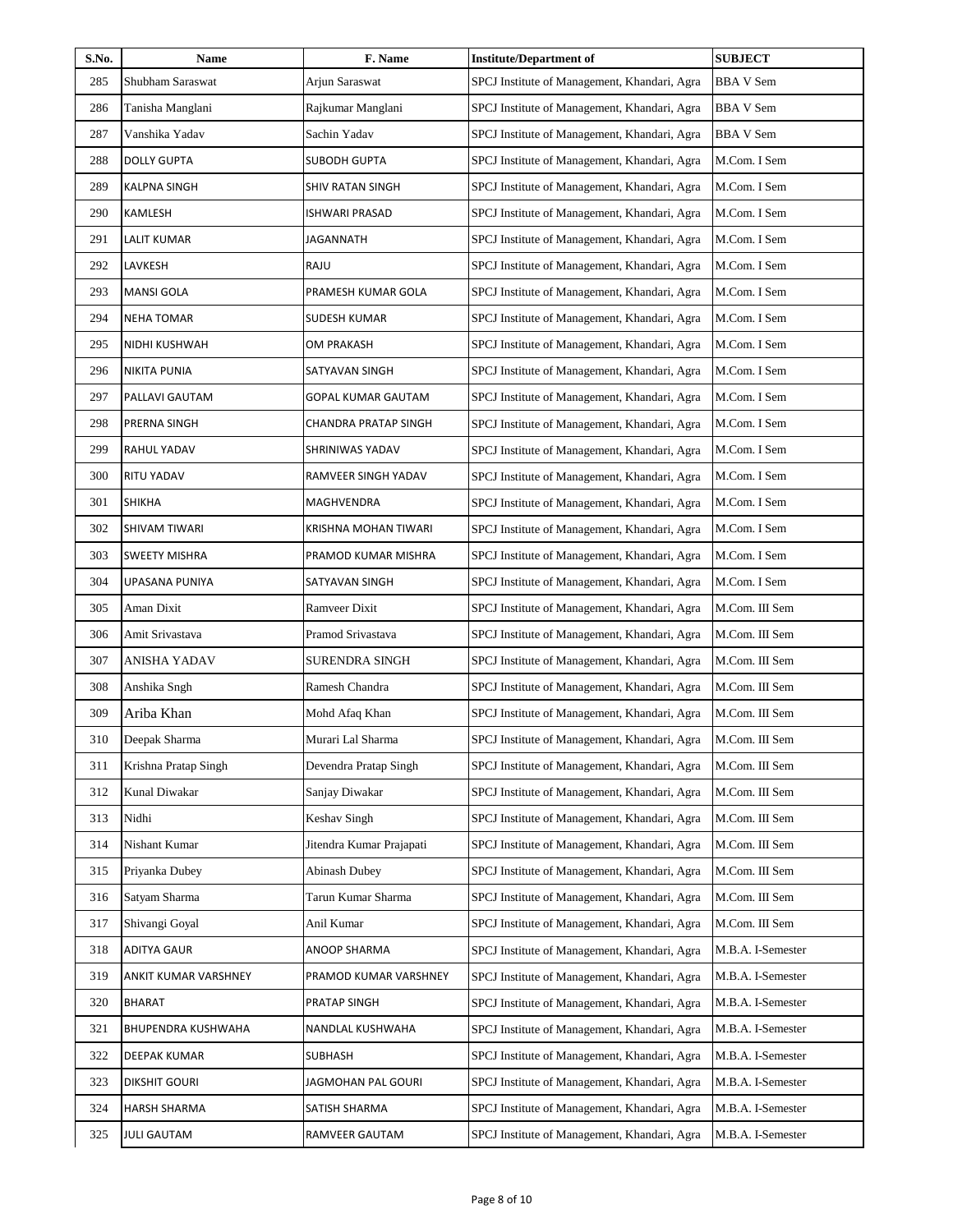| S.No. | Name                 | F. Name                  | <b>Institute/Department of</b>               | <b>SUBJECT</b>    |
|-------|----------------------|--------------------------|----------------------------------------------|-------------------|
| 285   | Shubham Saraswat     | Arjun Saraswat           | SPCJ Institute of Management, Khandari, Agra | <b>BBA V Sem</b>  |
| 286   | Tanisha Manglani     | Rajkumar Manglani        | SPCJ Institute of Management, Khandari, Agra | <b>BBA V Sem</b>  |
| 287   | Vanshika Yadav       | Sachin Yadav             | SPCJ Institute of Management, Khandari, Agra | <b>BBA V Sem</b>  |
| 288   | <b>DOLLY GUPTA</b>   | <b>SUBODH GUPTA</b>      | SPCJ Institute of Management, Khandari, Agra | M.Com. I Sem      |
| 289   | KALPNA SINGH         | SHIV RATAN SINGH         | SPCJ Institute of Management, Khandari, Agra | M.Com. I Sem      |
| 290   | KAMLESH              | ISHWARI PRASAD           | SPCJ Institute of Management, Khandari, Agra | M.Com. I Sem      |
| 291   | <b>LALIT KUMAR</b>   | JAGANNATH                | SPCJ Institute of Management, Khandari, Agra | M.Com. I Sem      |
| 292   | LAVKESH              | RAJU                     | SPCJ Institute of Management, Khandari, Agra | M.Com. I Sem      |
| 293   | <b>MANSI GOLA</b>    | PRAMESH KUMAR GOLA       | SPCJ Institute of Management, Khandari, Agra | M.Com. I Sem      |
| 294   | <b>NEHA TOMAR</b>    | SUDESH KUMAR             | SPCJ Institute of Management, Khandari, Agra | M.Com. I Sem      |
| 295   | NIDHI KUSHWAH        | OM PRAKASH               | SPCJ Institute of Management, Khandari, Agra | M.Com. I Sem      |
| 296   | <b>NIKITA PUNIA</b>  | SATYAVAN SINGH           | SPCJ Institute of Management, Khandari, Agra | M.Com. I Sem      |
| 297   | PALLAVI GAUTAM       | GOPAL KUMAR GAUTAM       | SPCJ Institute of Management, Khandari, Agra | M.Com. I Sem      |
| 298   | PRERNA SINGH         | CHANDRA PRATAP SINGH     | SPCJ Institute of Management, Khandari, Agra | M.Com. I Sem      |
| 299   | RAHUL YADAV          | SHRINIWAS YADAV          | SPCJ Institute of Management, Khandari, Agra | M.Com. I Sem      |
| 300   | RITU YADAV           | RAMVEER SINGH YADAV      | SPCJ Institute of Management, Khandari, Agra | M.Com. I Sem      |
| 301   | <b>SHIKHA</b>        | MAGHVENDRA               | SPCJ Institute of Management, Khandari, Agra | M.Com. I Sem      |
| 302   | SHIVAM TIWARI        | KRISHNA MOHAN TIWARI     | SPCJ Institute of Management, Khandari, Agra | M.Com. I Sem      |
| 303   | <b>SWEETY MISHRA</b> | PRAMOD KUMAR MISHRA      | SPCJ Institute of Management, Khandari, Agra | M.Com. I Sem      |
| 304   | UPASANA PUNIYA       | SATYAVAN SINGH           | SPCJ Institute of Management, Khandari, Agra | M.Com. I Sem      |
| 305   | Aman Dixit           | <b>Ramveer Dixit</b>     | SPCJ Institute of Management, Khandari, Agra | M.Com. III Sem    |
| 306   | Amit Srivastava      | Pramod Srivastava        | SPCJ Institute of Management, Khandari, Agra | M.Com. III Sem    |
| 307   | ANISHA YADAV         | <b>SURENDRA SINGH</b>    | SPCJ Institute of Management, Khandari, Agra | M.Com. III Sem    |
| 308   | Anshika Sngh         | Ramesh Chandra           | SPCJ Institute of Management, Khandari, Agra | M.Com. III Sem    |
| 309   | Ariba Khan           | Mohd Afaq Khan           | SPCJ Institute of Management, Khandari, Agra | M.Com. III Sem    |
| 310   | Deepak Sharma        | Murari Lal Sharma        | SPCJ Institute of Management, Khandari, Agra | M.Com. III Sem    |
| 311   | Krishna Pratap Singh | Devendra Pratap Singh    | SPCJ Institute of Management, Khandari, Agra | M.Com. III Sem    |
| 312   | Kunal Diwakar        | Sanjay Diwakar           | SPCJ Institute of Management, Khandari, Agra | M.Com. III Sem    |
| 313   | Nidhi                | Keshav Singh             | SPCJ Institute of Management, Khandari, Agra | M.Com. III Sem    |
| 314   | Nishant Kumar        | Jitendra Kumar Prajapati | SPCJ Institute of Management, Khandari, Agra | M.Com. III Sem    |
| 315   | Priyanka Dubey       | <b>Abinash Dubey</b>     | SPCJ Institute of Management, Khandari, Agra | M.Com. III Sem    |
| 316   | Satyam Sharma        | Tarun Kumar Sharma       | SPCJ Institute of Management, Khandari, Agra | M.Com. III Sem    |
| 317   | Shivangi Goyal       | Anil Kumar               | SPCJ Institute of Management, Khandari, Agra | M.Com. III Sem    |
| 318   | ADITYA GAUR          | ANOOP SHARMA             | SPCJ Institute of Management, Khandari, Agra | M.B.A. I-Semester |
| 319   | ANKIT KUMAR VARSHNEY | PRAMOD KUMAR VARSHNEY    | SPCJ Institute of Management, Khandari, Agra | M.B.A. I-Semester |
| 320   | BHARAT               | PRATAP SINGH             | SPCJ Institute of Management, Khandari, Agra | M.B.A. I-Semester |
| 321   | BHUPENDRA KUSHWAHA   | NANDLAL KUSHWAHA         | SPCJ Institute of Management, Khandari, Agra | M.B.A. I-Semester |
| 322   | DEEPAK KUMAR         | SUBHASH                  | SPCJ Institute of Management, Khandari, Agra | M.B.A. I-Semester |
| 323   | DIKSHIT GOURI        | JAGMOHAN PAL GOURI       | SPCJ Institute of Management, Khandari, Agra | M.B.A. I-Semester |
| 324   | HARSH SHARMA         | SATISH SHARMA            | SPCJ Institute of Management, Khandari, Agra | M.B.A. I-Semester |
| 325   | <b>JULI GAUTAM</b>   | RAMVEER GAUTAM           | SPCJ Institute of Management, Khandari, Agra | M.B.A. I-Semester |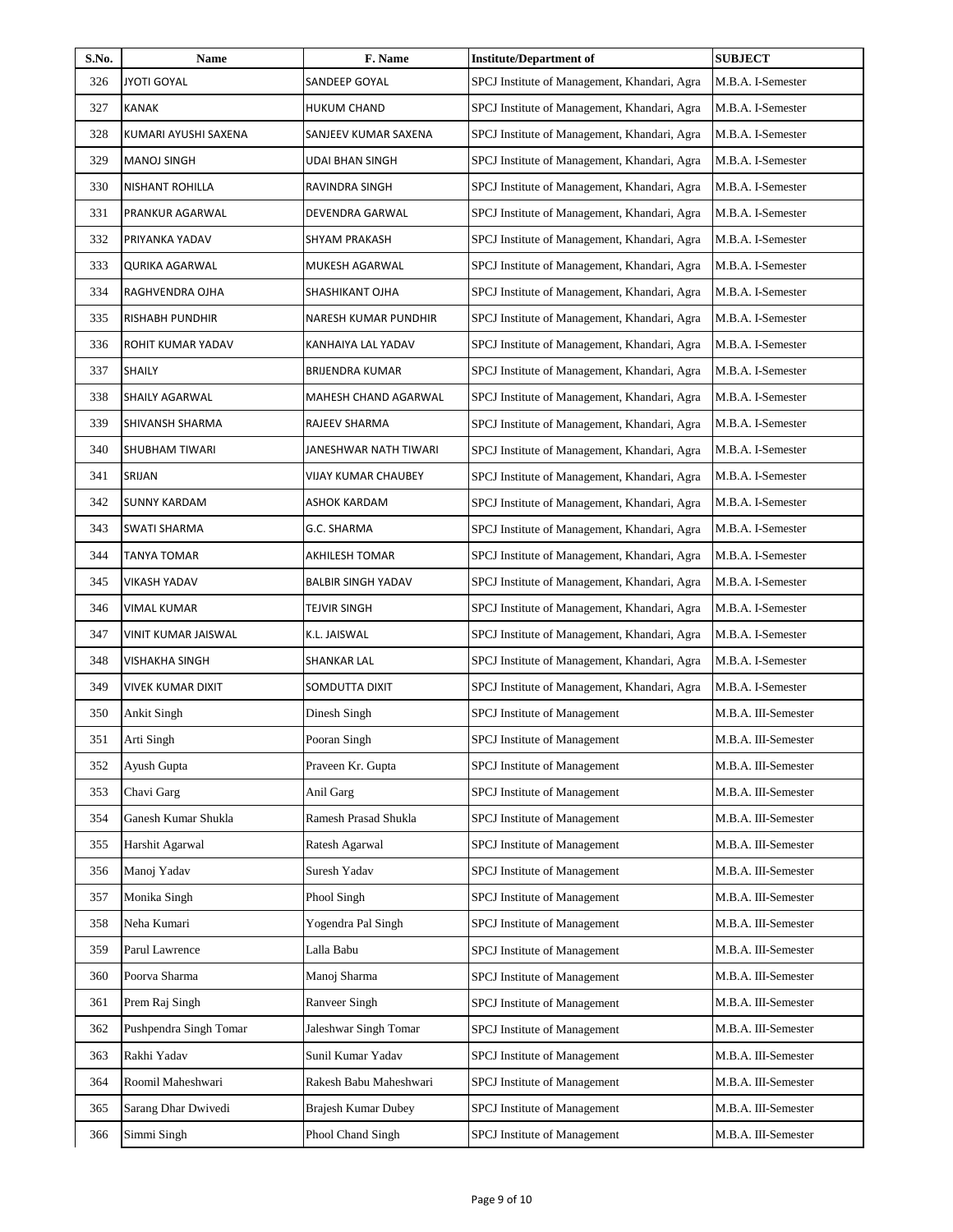| S.No. | Name                     | F. Name                    | <b>Institute/Department of</b>               | <b>SUBJECT</b>      |
|-------|--------------------------|----------------------------|----------------------------------------------|---------------------|
| 326   | <b>JYOTI GOYAL</b>       | SANDEEP GOYAL              | SPCJ Institute of Management, Khandari, Agra | M.B.A. I-Semester   |
| 327   | <b>KANAK</b>             | <b>HUKUM CHAND</b>         | SPCJ Institute of Management, Khandari, Agra | M.B.A. I-Semester   |
| 328   | KUMARI AYUSHI SAXENA     | SANJEEV KUMAR SAXENA       | SPCJ Institute of Management, Khandari, Agra | M.B.A. I-Semester   |
| 329   | MANOJ SINGH              | UDAI BHAN SINGH            | SPCJ Institute of Management, Khandari, Agra | M.B.A. I-Semester   |
| 330   | NISHANT ROHILLA          | RAVINDRA SINGH             | SPCJ Institute of Management, Khandari, Agra | M.B.A. I-Semester   |
| 331   | PRANKUR AGARWAL          | DEVENDRA GARWAL            | SPCJ Institute of Management, Khandari, Agra | M.B.A. I-Semester   |
| 332   | PRIYANKA YADAV           | SHYAM PRAKASH              | SPCJ Institute of Management, Khandari, Agra | M.B.A. I-Semester   |
| 333   | <b>QURIKA AGARWAL</b>    | MUKESH AGARWAL             | SPCJ Institute of Management, Khandari, Agra | M.B.A. I-Semester   |
| 334   | RAGHVENDRA OJHA          | SHASHIKANT OJHA            | SPCJ Institute of Management, Khandari, Agra | M.B.A. I-Semester   |
| 335   | <b>RISHABH PUNDHIR</b>   | NARESH KUMAR PUNDHIR       | SPCJ Institute of Management, Khandari, Agra | M.B.A. I-Semester   |
| 336   | ROHIT KUMAR YADAV        | KANHAIYA LAL YADAV         | SPCJ Institute of Management, Khandari, Agra | M.B.A. I-Semester   |
| 337   | <b>SHAILY</b>            | <b>BRIJENDRA KUMAR</b>     | SPCJ Institute of Management, Khandari, Agra | M.B.A. I-Semester   |
| 338   | SHAILY AGARWAL           | MAHESH CHAND AGARWAL       | SPCJ Institute of Management, Khandari, Agra | M.B.A. I-Semester   |
| 339   | SHIVANSH SHARMA          | RAJEEV SHARMA              | SPCJ Institute of Management, Khandari, Agra | M.B.A. I-Semester   |
| 340   | SHUBHAM TIWARI           | JANESHWAR NATH TIWARI      | SPCJ Institute of Management, Khandari, Agra | M.B.A. I-Semester   |
| 341   | SRIJAN                   | VIJAY KUMAR CHAUBEY        | SPCJ Institute of Management, Khandari, Agra | M.B.A. I-Semester   |
| 342   | <b>SUNNY KARDAM</b>      | ASHOK KARDAM               | SPCJ Institute of Management, Khandari, Agra | M.B.A. I-Semester   |
| 343   | SWATI SHARMA             | G.C. SHARMA                | SPCJ Institute of Management, Khandari, Agra | M.B.A. I-Semester   |
| 344   | <b>TANYA TOMAR</b>       | AKHILESH TOMAR             | SPCJ Institute of Management, Khandari, Agra | M.B.A. I-Semester   |
| 345   | <b>VIKASH YADAV</b>      | <b>BALBIR SINGH YADAV</b>  | SPCJ Institute of Management, Khandari, Agra | M.B.A. I-Semester   |
| 346   | <b>VIMAL KUMAR</b>       | TEJVIR SINGH               | SPCJ Institute of Management, Khandari, Agra | M.B.A. I-Semester   |
| 347   | VINIT KUMAR JAISWAL      | K.L. JAISWAL               | SPCJ Institute of Management, Khandari, Agra | M.B.A. I-Semester   |
| 348   | <b>VISHAKHA SINGH</b>    | SHANKAR LAL                | SPCJ Institute of Management, Khandari, Agra | M.B.A. I-Semester   |
| 349   | <b>VIVEK KUMAR DIXIT</b> | SOMDUTTA DIXIT             | SPCJ Institute of Management, Khandari, Agra | M.B.A. I-Semester   |
| 350   | Ankit Singh              | Dinesh Singh               | SPCJ Institute of Management                 | M.B.A. III-Semester |
| 351   | Arti Singh               | Pooran Singh               | <b>SPCJ</b> Institute of Management          | M.B.A. III-Semester |
| 352   | Ayush Gupta              | Praveen Kr. Gupta          | SPCJ Institute of Management                 | M.B.A. III-Semester |
| 353   | Chavi Garg               | Anil Garg                  | SPCJ Institute of Management                 | M.B.A. III-Semester |
| 354   | Ganesh Kumar Shukla      | Ramesh Prasad Shukla       | SPCJ Institute of Management                 | M.B.A. III-Semester |
| 355   | Harshit Agarwal          | Ratesh Agarwal             | SPCJ Institute of Management                 | M.B.A. III-Semester |
| 356   | Manoj Yadav              | Suresh Yadav               | <b>SPCJ</b> Institute of Management          | M.B.A. III-Semester |
| 357   | Monika Singh             | Phool Singh                | SPCJ Institute of Management                 | M.B.A. III-Semester |
| 358   | Neha Kumari              | Yogendra Pal Singh         | <b>SPCJ</b> Institute of Management          | M.B.A. III-Semester |
| 359   | Parul Lawrence           | Lalla Babu                 | SPCJ Institute of Management                 | M.B.A. III-Semester |
| 360   | Poorva Sharma            | Manoj Sharma               | SPCJ Institute of Management                 | M.B.A. III-Semester |
| 361   | Prem Raj Singh           | Ranveer Singh              | SPCJ Institute of Management                 | M.B.A. III-Semester |
| 362   | Pushpendra Singh Tomar   | Jaleshwar Singh Tomar      | <b>SPCJ</b> Institute of Management          | M.B.A. III-Semester |
| 363   | Rakhi Yadav              | Sunil Kumar Yadav          | SPCJ Institute of Management                 | M.B.A. III-Semester |
| 364   | Roomil Maheshwari        | Rakesh Babu Maheshwari     | SPCJ Institute of Management                 | M.B.A. III-Semester |
| 365   | Sarang Dhar Dwivedi      | <b>Brajesh Kumar Dubey</b> | SPCJ Institute of Management                 | M.B.A. III-Semester |
| 366   | Simmi Singh              | Phool Chand Singh          | SPCJ Institute of Management                 | M.B.A. III-Semester |